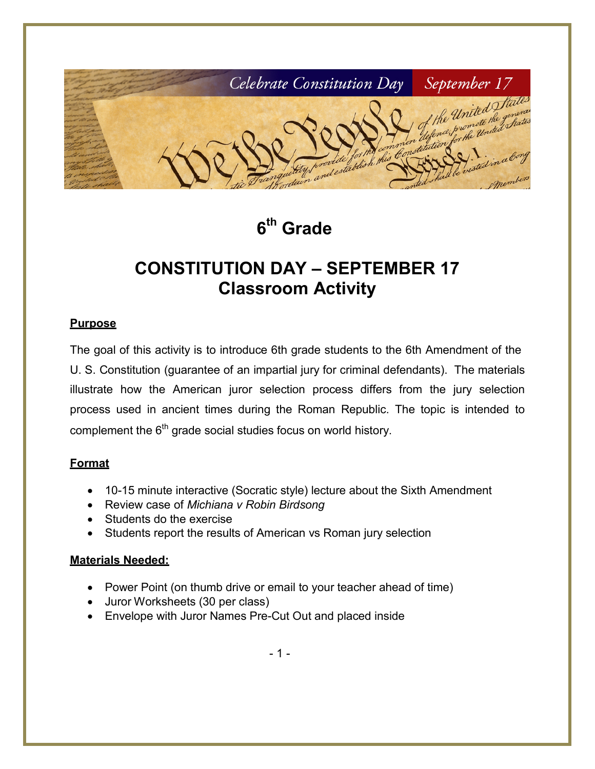

**6th Grade**

# **CONSTITUTION DAY – SEPTEMBER 17 Classroom Activity**

#### **Purpose**

The goal of this activity is to introduce 6th grade students to the 6th Amendment of the U. S. Constitution (guarantee of an impartial jury for criminal defendants). The materials illustrate how the American juror selection process differs from the jury selection process used in ancient times during the Roman Republic. The topic is intended to complement the  $6<sup>th</sup>$  grade social studies focus on world history.

#### **Format**

- 10-15 minute interactive (Socratic style) lecture about the Sixth Amendment
- Review case of *Michiana v Robin Birdsong*
- Students do the exercise
- Students report the results of American vs Roman jury selection

#### **Materials Needed:**

- Power Point (on thumb drive or email to your teacher ahead of time)
- Juror Worksheets (30 per class)
- Envelope with Juror Names Pre-Cut Out and placed inside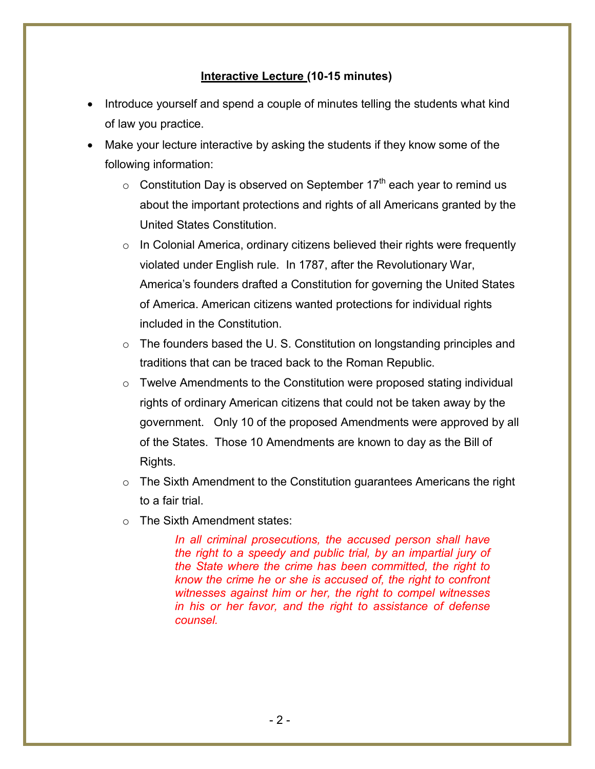#### **Interactive Lecture (10-15 minutes)**

- Introduce yourself and spend a couple of minutes telling the students what kind of law you practice.
- Make your lecture interactive by asking the students if they know some of the following information:
	- $\circ$  Constitution Day is observed on September 17<sup>th</sup> each year to remind us about the important protections and rights of all Americans granted by the United States Constitution.
	- $\circ$  In Colonial America, ordinary citizens believed their rights were frequently violated under English rule. In 1787, after the Revolutionary War, America's founders drafted a Constitution for governing the United States of America. American citizens wanted protections for individual rights included in the Constitution.
	- $\circ$  The founders based the U.S. Constitution on longstanding principles and traditions that can be traced back to the Roman Republic.
	- $\circ$  Twelve Amendments to the Constitution were proposed stating individual rights of ordinary American citizens that could not be taken away by the government. Only 10 of the proposed Amendments were approved by all of the States. Those 10 Amendments are known to day as the Bill of Rights.
	- $\circ$  The Sixth Amendment to the Constitution guarantees Americans the right to a fair trial.
	- o The Sixth Amendment states:

*In all criminal prosecutions, the accused person shall have the right to a speedy and public trial, by an impartial jury of the State where the crime has been committed, the right to know the crime he or she is accused of, the right to confront witnesses against him or her, the right to compel witnesses in his or her favor, and the right to assistance of defense counsel.*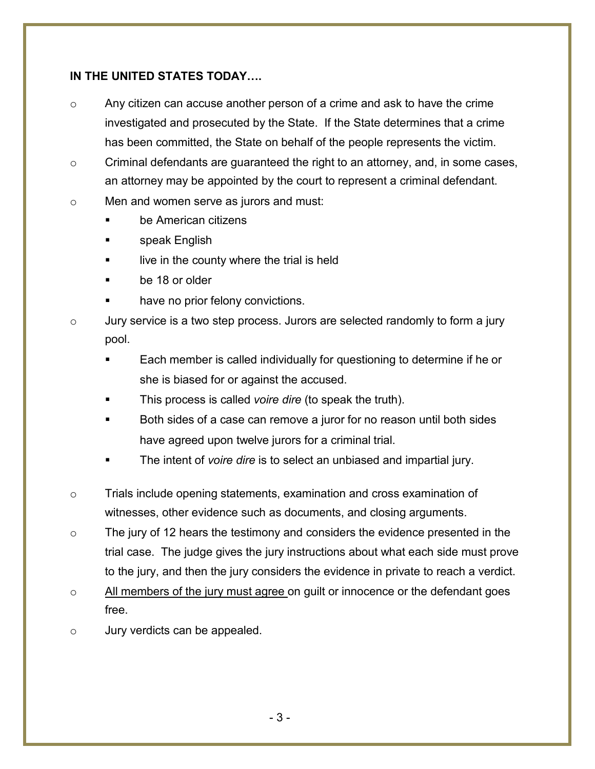#### **IN THE UNITED STATES TODAY….**

- o Any citizen can accuse another person of a crime and ask to have the crime investigated and prosecuted by the State. If the State determines that a crime has been committed, the State on behalf of the people represents the victim.
- $\circ$  Criminal defendants are quaranteed the right to an attorney, and, in some cases, an attorney may be appointed by the court to represent a criminal defendant.
- o Men and women serve as jurors and must:
	- be American citizens
	- speak English
	- live in the county where the trial is held
	- be 18 or older
	- have no prior felony convictions.
- $\circ$  Jury service is a two step process. Jurors are selected randomly to form a jury pool.
	- Each member is called individually for questioning to determine if he or she is biased for or against the accused.
	- This process is called *voire dire* (to speak the truth).
	- Both sides of a case can remove a juror for no reason until both sides have agreed upon twelve jurors for a criminal trial.
	- The intent of *voire dire* is to select an unbiased and impartial jury.
- $\circ$  Trials include opening statements, examination and cross examination of witnesses, other evidence such as documents, and closing arguments.
- o The jury of 12 hears the testimony and considers the evidence presented in the trial case. The judge gives the jury instructions about what each side must prove to the jury, and then the jury considers the evidence in private to reach a verdict.
- $\circ$  All members of the jury must agree on quilt or innocence or the defendant goes free.
- o Jury verdicts can be appealed.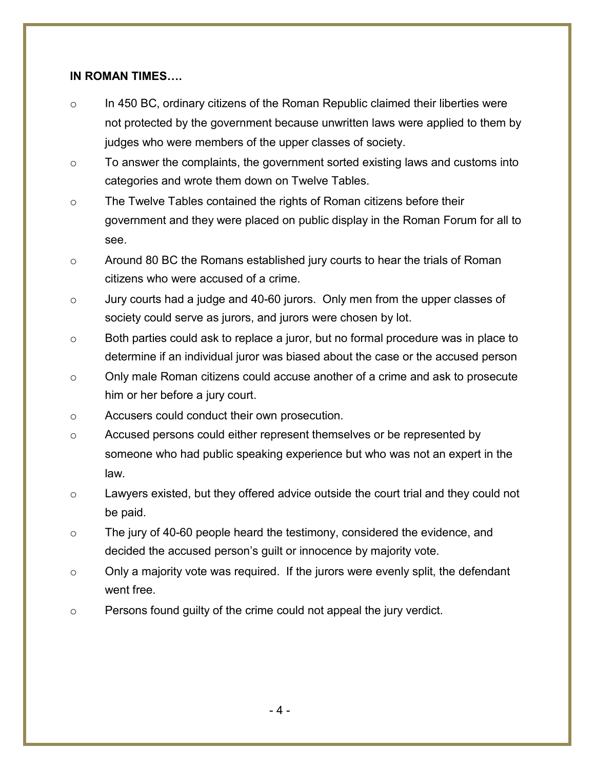#### **IN ROMAN TIMES….**

- $\circ$  In 450 BC, ordinary citizens of the Roman Republic claimed their liberties were not protected by the government because unwritten laws were applied to them by judges who were members of the upper classes of society.
- $\circ$  To answer the complaints, the government sorted existing laws and customs into categories and wrote them down on Twelve Tables.
- $\circ$  The Twelve Tables contained the rights of Roman citizens before their government and they were placed on public display in the Roman Forum for all to see.
- o Around 80 BC the Romans established jury courts to hear the trials of Roman citizens who were accused of a crime.
- o Jury courts had a judge and 40-60 jurors. Only men from the upper classes of society could serve as jurors, and jurors were chosen by lot.
- o Both parties could ask to replace a juror, but no formal procedure was in place to determine if an individual juror was biased about the case or the accused person
- o Only male Roman citizens could accuse another of a crime and ask to prosecute him or her before a jury court.
- o Accusers could conduct their own prosecution.
- $\circ$  Accused persons could either represent themselves or be represented by someone who had public speaking experience but who was not an expert in the law.
- $\circ$  Lawyers existed, but they offered advice outside the court trial and they could not be paid.
- $\circ$  The jury of 40-60 people heard the testimony, considered the evidence, and decided the accused person's guilt or innocence by majority vote.
- $\circ$  Only a majority vote was required. If the jurors were evenly split, the defendant went free.
- $\circ$  Persons found guilty of the crime could not appeal the jury verdict.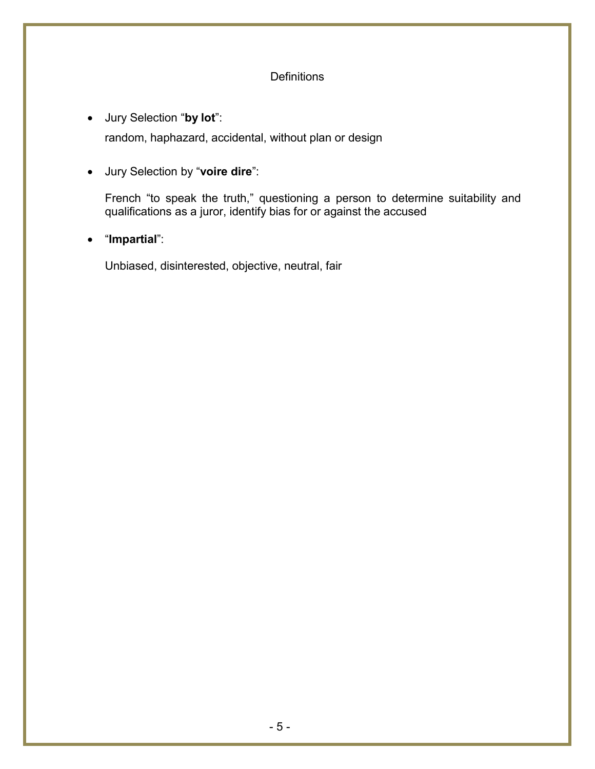#### **Definitions**

- Jury Selection "**by lot**": random, haphazard, accidental, without plan or design
- Jury Selection by "**voire dire**":

French "to speak the truth," questioning a person to determine suitability and qualifications as a juror, identify bias for or against the accused

• "**Impartial**":

Unbiased, disinterested, objective, neutral, fair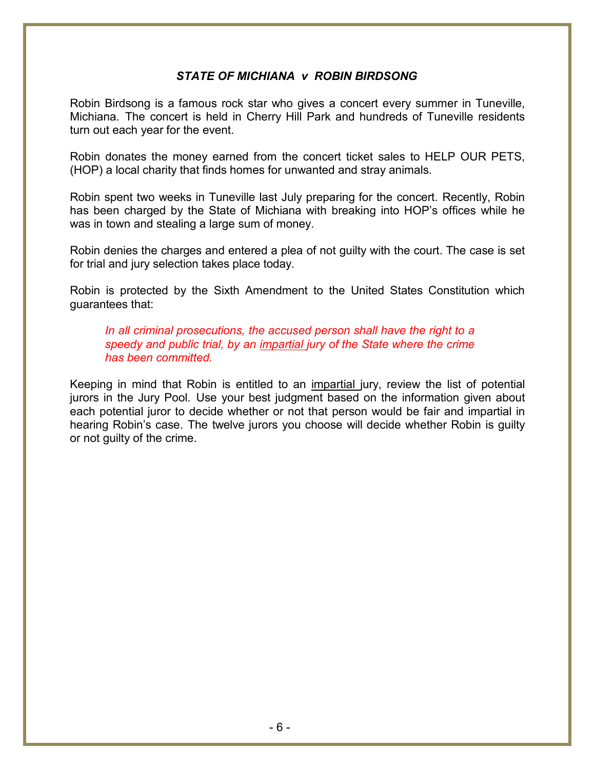#### *STATE OF MICHIANA v ROBIN BIRDSONG*

Robin Birdsong is a famous rock star who gives a concert every summer in Tuneville, Michiana. The concert is held in Cherry Hill Park and hundreds of Tuneville residents turn out each year for the event.

Robin donates the money earned from the concert ticket sales to HELP OUR PETS, (HOP) a local charity that finds homes for unwanted and stray animals.

Robin spent two weeks in Tuneville last July preparing for the concert. Recently, Robin has been charged by the State of Michiana with breaking into HOP's offices while he was in town and stealing a large sum of money.

Robin denies the charges and entered a plea of not guilty with the court. The case is set for trial and jury selection takes place today.

Robin is protected by the Sixth Amendment to the United States Constitution which guarantees that:

*In all criminal prosecutions, the accused person shall have the right to a speedy and public trial, by an impartial jury of the State where the crime has been committed.*

Keeping in mind that Robin is entitled to an impartial jury, review the list of potential jurors in the Jury Pool. Use your best judgment based on the information given about each potential juror to decide whether or not that person would be fair and impartial in hearing Robin's case. The twelve jurors you choose will decide whether Robin is guilty or not guilty of the crime.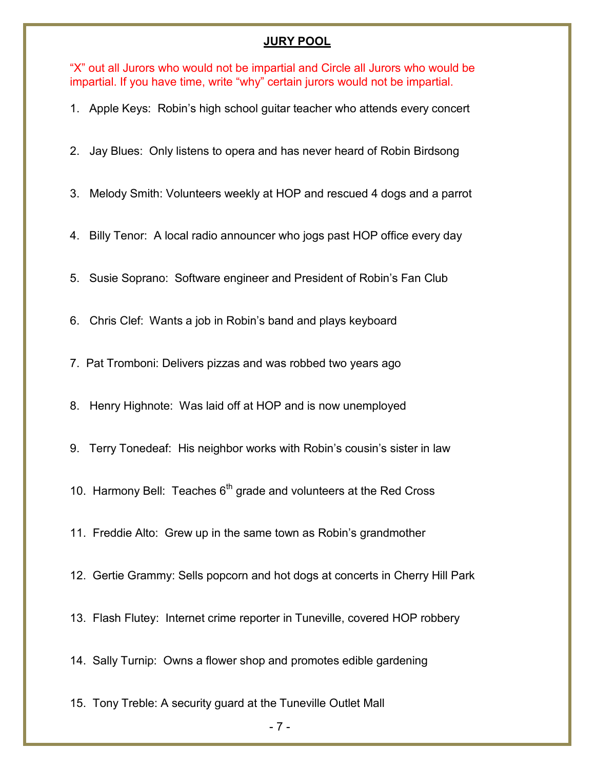#### **JURY POOL**

"X" out all Jurors who would not be impartial and Circle all Jurors who would be impartial. If you have time, write "why" certain jurors would not be impartial.

1. Apple Keys: Robin's high school guitar teacher who attends every concert

2. Jay Blues: Only listens to opera and has never heard of Robin Birdsong

3. Melody Smith: Volunteers weekly at HOP and rescued 4 dogs and a parrot

4. Billy Tenor: A local radio announcer who jogs past HOP office every day

5. Susie Soprano: Software engineer and President of Robin's Fan Club

6. Chris Clef: Wants a job in Robin's band and plays keyboard

7. Pat Tromboni: Delivers pizzas and was robbed two years ago

8. Henry Highnote: Was laid off at HOP and is now unemployed

9. Terry Tonedeaf: His neighbor works with Robin's cousin's sister in law

10. Harmony Bell: Teaches  $6<sup>th</sup>$  grade and volunteers at the Red Cross

11. Freddie Alto: Grew up in the same town as Robin's grandmother

12. Gertie Grammy: Sells popcorn and hot dogs at concerts in Cherry Hill Park

13. Flash Flutey: Internet crime reporter in Tuneville, covered HOP robbery

14. Sally Turnip: Owns a flower shop and promotes edible gardening

15. Tony Treble: A security guard at the Tuneville Outlet Mall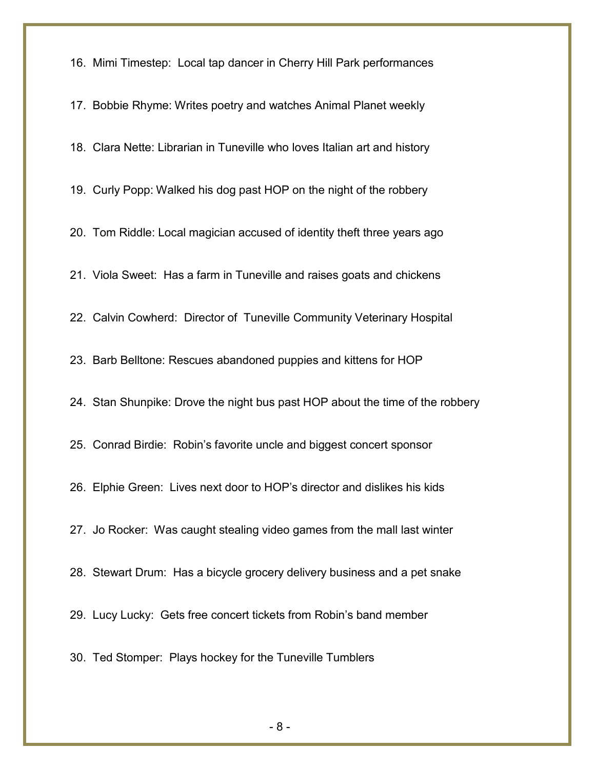16. Mimi Timestep: Local tap dancer in Cherry Hill Park performances

17. Bobbie Rhyme: Writes poetry and watches Animal Planet weekly 18. Clara Nette: Librarian in Tuneville who loves Italian art and history 19. Curly Popp: Walked his dog past HOP on the night of the robbery 20. Tom Riddle: Local magician accused of identity theft three years ago 21. Viola Sweet: Has a farm in Tuneville and raises goats and chickens 22. Calvin Cowherd: Director of Tuneville Community Veterinary Hospital 23. Barb Belltone: Rescues abandoned puppies and kittens for HOP 24. Stan Shunpike: Drove the night bus past HOP about the time of the robbery 25. Conrad Birdie: Robin's favorite uncle and biggest concert sponsor 26. Elphie Green: Lives next door to HOP's director and dislikes his kids 27. Jo Rocker: Was caught stealing video games from the mall last winter 28. Stewart Drum: Has a bicycle grocery delivery business and a pet snake 29. Lucy Lucky: Gets free concert tickets from Robin's band member 30. Ted Stomper: Plays hockey for the Tuneville Tumblers